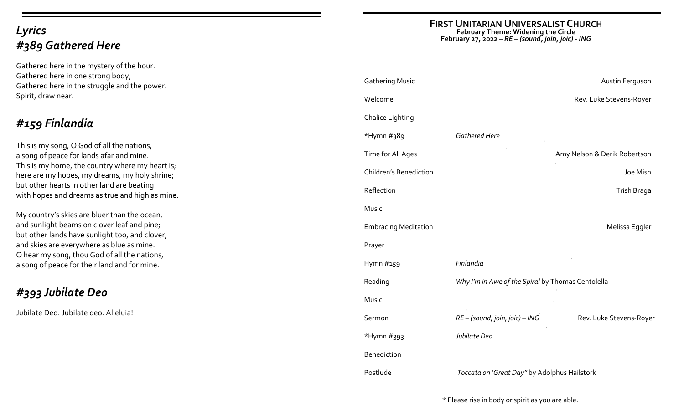# *Lyrics #389 Gathered Here*

Gathered here in the mystery of the hour. Gathered here in one strong body, Gathered here in the struggle and the power. Spirit, draw near.

## *#159 Finlandia*

This is my song, O God of all the nations, a song of peace for lands afar and mine. This is my home, the country where my heart is; here are my hopes, my dreams, my holy shrine; but other hearts in other land are beating with hopes and dreams as true and high as mine.

My country's skies are bluer than the ocean, and sunlight beams on clover leaf and pine; but other lands have sunlight too, and clover, and skies are everywhere as blue as mine. O hear my song, thou God of all the nations, a song of peace for their land and for mine.

## *#393 Jubilate Deo*

Jubilate Deo. Jubilate deo. Alleluia!

### **FIRST UNITARIAN UNIVERSALIST CHURCH**

**February Theme: Widening the Circle February 27, 2022 –** *RE – (sound, join, joic) - ING*

| <b>Gathering Music</b>        | Austin Ferguson                                       |  |
|-------------------------------|-------------------------------------------------------|--|
| Welcome                       | Rev. Luke Stevens-Royer                               |  |
| <b>Chalice Lighting</b>       |                                                       |  |
| *Hymn #389                    | <b>Gathered Here</b>                                  |  |
| Time for All Ages             | Amy Nelson & Derik Robertson                          |  |
| <b>Children's Benediction</b> | Joe Mish                                              |  |
| Reflection                    | Trish Braga                                           |  |
| Music                         |                                                       |  |
| <b>Embracing Meditation</b>   | Melissa Eggler                                        |  |
| Prayer                        |                                                       |  |
| Hymn #159                     | Finlandia                                             |  |
| Reading                       | Why I'm in Awe of the Spiral by Thomas Centolella     |  |
| Music                         |                                                       |  |
| Sermon                        | RE-(sound, join, joic)-ING<br>Rev. Luke Stevens-Royer |  |
| *Hymn #393                    | Jubilate Deo                                          |  |
| <b>Benediction</b>            |                                                       |  |
| Postlude                      | Toccata on 'Great Day" by Adolphus Hailstork          |  |

\* Please rise in body or spirit as you are able.